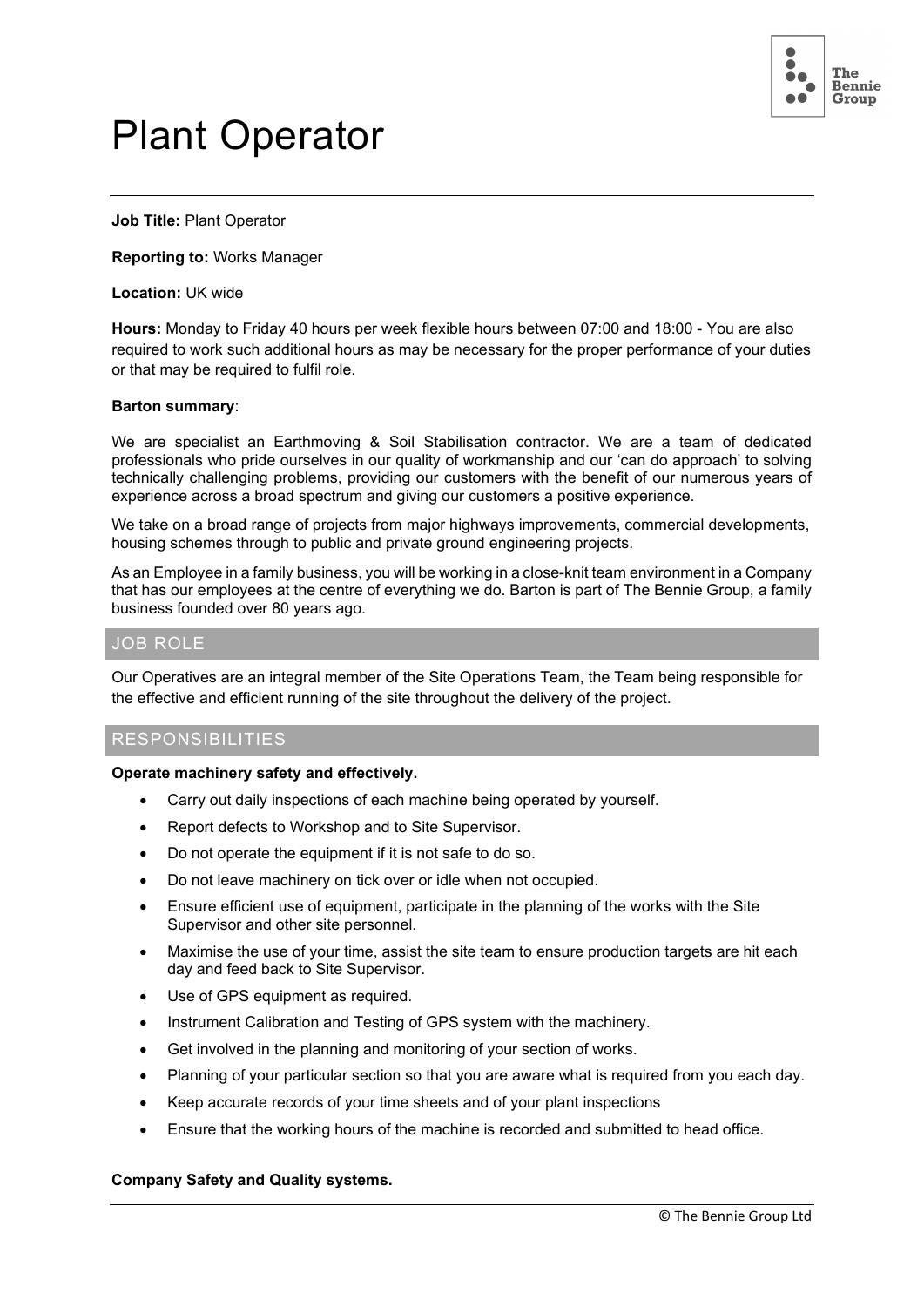

# Plant Operator

**Job Title:** Plant Operator

**Reporting to:** Works Manager

**Location:** UK wide

**Hours:** Monday to Friday 40 hours per week flexible hours between 07:00 and 18:00 - You are also required to work such additional hours as may be necessary for the proper performance of your duties or that may be required to fulfil role.

#### **Barton summary**:

We are specialist an Earthmoving & Soil Stabilisation contractor. We are a team of dedicated professionals who pride ourselves in our quality of workmanship and our 'can do approach' to solving technically challenging problems, providing our customers with the benefit of our numerous years of experience across a broad spectrum and giving our customers a positive experience.

We take on a broad range of projects from major highways improvements, commercial developments, housing schemes through to public and private ground engineering projects.

As an Employee in a family business, you will be working in a close-knit team environment in a Company that has our employees at the centre of everything we do. Barton is part of The Bennie Group, a family business founded over 80 years ago.

## JOB ROLE

Our Operatives are an integral member of the Site Operations Team, the Team being responsible for the effective and efficient running of the site throughout the delivery of the project.

# RESPONSIBILITIES

#### **Operate machinery safety and effectively.**

- Carry out daily inspections of each machine being operated by yourself.
- Report defects to Workshop and to Site Supervisor.
- Do not operate the equipment if it is not safe to do so.
- Do not leave machinery on tick over or idle when not occupied.
- Ensure efficient use of equipment, participate in the planning of the works with the Site Supervisor and other site personnel.
- Maximise the use of your time, assist the site team to ensure production targets are hit each day and feed back to Site Supervisor.
- Use of GPS equipment as required.
- Instrument Calibration and Testing of GPS system with the machinery.
- Get involved in the planning and monitoring of your section of works.
- Planning of your particular section so that you are aware what is required from you each day.
- Keep accurate records of your time sheets and of your plant inspections
- Ensure that the working hours of the machine is recorded and submitted to head office.

## **Company Safety and Quality systems.**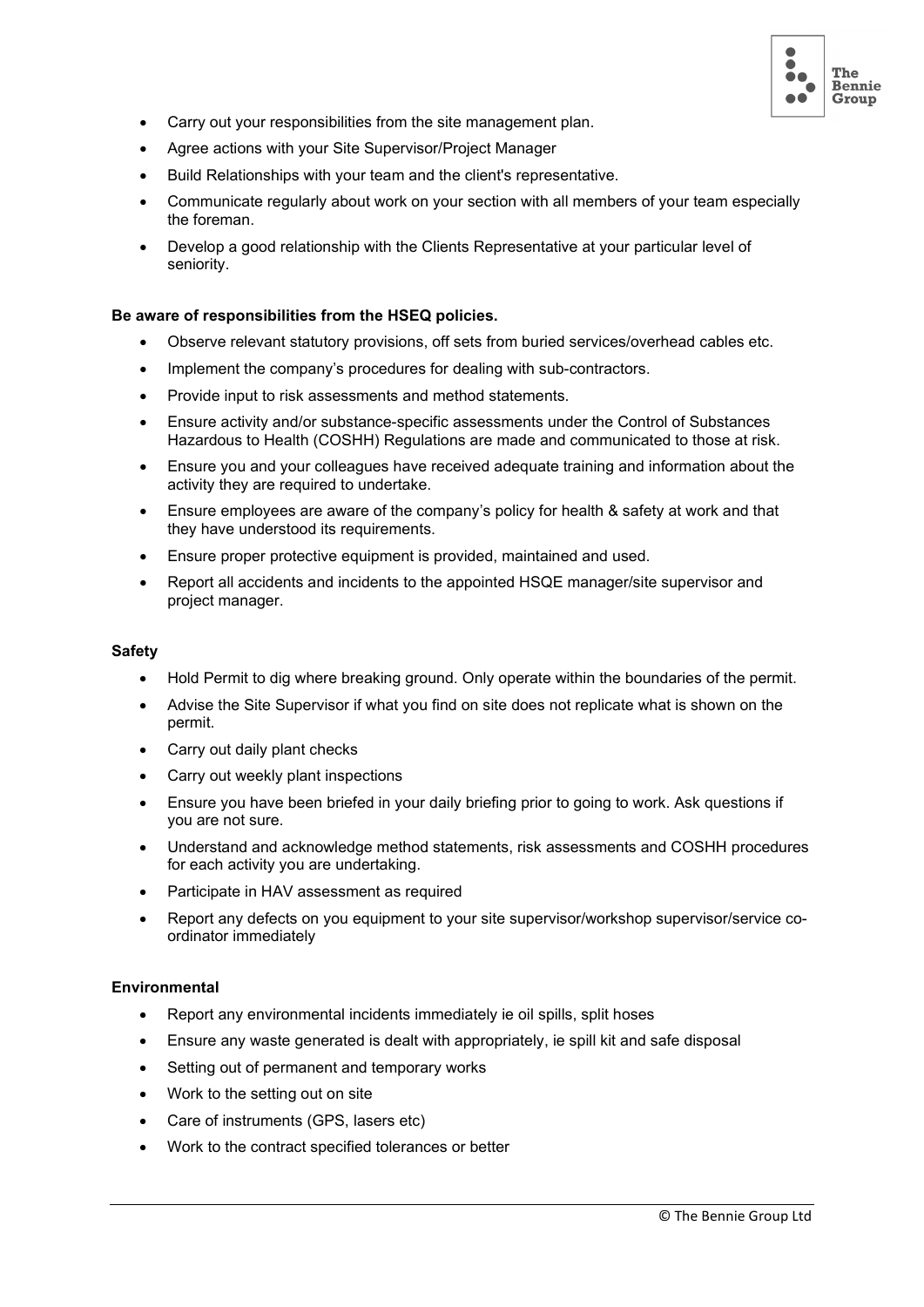

- Carry out your responsibilities from the site management plan.
- Agree actions with your Site Supervisor/Project Manager
- Build Relationships with your team and the client's representative.
- Communicate regularly about work on your section with all members of your team especially the foreman.
- Develop a good relationship with the Clients Representative at your particular level of seniority.

#### **Be aware of responsibilities from the HSEQ policies.**

- Observe relevant statutory provisions, off sets from buried services/overhead cables etc.
- Implement the company's procedures for dealing with sub-contractors.
- Provide input to risk assessments and method statements.
- Ensure activity and/or substance-specific assessments under the Control of Substances Hazardous to Health (COSHH) Regulations are made and communicated to those at risk.
- Ensure you and your colleagues have received adequate training and information about the activity they are required to undertake.
- Ensure employees are aware of the company's policy for health & safety at work and that they have understood its requirements.
- Ensure proper protective equipment is provided, maintained and used.
- Report all accidents and incidents to the appointed HSQE manager/site supervisor and project manager.

#### **Safety**

- Hold Permit to dig where breaking ground. Only operate within the boundaries of the permit.
- Advise the Site Supervisor if what you find on site does not replicate what is shown on the permit.
- Carry out daily plant checks
- Carry out weekly plant inspections
- Ensure you have been briefed in your daily briefing prior to going to work. Ask questions if you are not sure.
- Understand and acknowledge method statements, risk assessments and COSHH procedures for each activity you are undertaking.
- Participate in HAV assessment as required
- Report any defects on you equipment to your site supervisor/workshop supervisor/service coordinator immediately

#### **Environmental**

- Report any environmental incidents immediately ie oil spills, split hoses
- Ensure any waste generated is dealt with appropriately, ie spill kit and safe disposal
- Setting out of permanent and temporary works
- Work to the setting out on site
- Care of instruments (GPS, lasers etc)
- Work to the contract specified tolerances or better